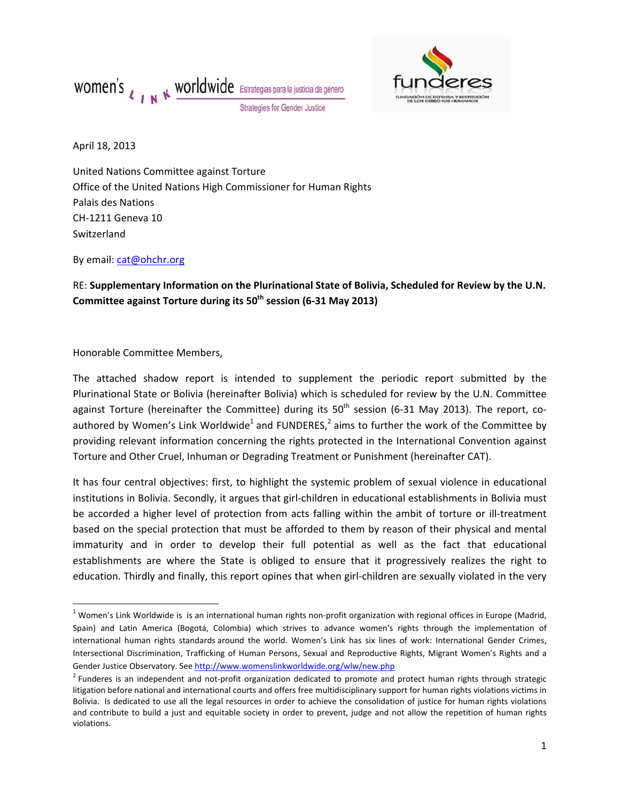



April 18, 2013

United Nations Committee against Torture Office of the United Nations High Commissioner for Human Rights Palais des Nations CH‐1211 Geneva 10 Switzerland

By email: cat@ohchr.org

RE: **Supplementary Information on the Plurinational State of Bolivia, Scheduled for Review by the U.N. Committee against Torture during its 50th session (6‐31 May 2013)**

Honorable Committee Members,

The attached shadow report is intended to supplement the periodic report submitted by the Plurinational State or Bolivia (hereinafter Bolivia) which is scheduled for review by the U.N. Committee against Torture (hereinafter the Committee) during its  $50<sup>th</sup>$  session (6-31 May 2013). The report, coauthored by Women's Link Worldwide<sup>1</sup> and FUNDERES,<sup>2</sup> aims to further the work of the Committee by providing relevant information concerning the rights protected in the International Convention against Torture and Other Cruel, Inhuman or Degrading Treatment or Punishment (hereinafter CAT).

It has four central objectives: first, to highlight the systemic problem of sexual violence in educational institutions in Bolivia. Secondly, it argues that girl‐children in educational establishments in Bolivia must be accorded a higher level of protection from acts falling within the ambit of torture or ill-treatment based on the special protection that must be afforded to them by reason of their physical and mental immaturity and in order to develop their full potential as well as the fact that educational establishments are where the State is obliged to ensure that it progressively realizes the right to education. Thirdly and finally, this report opines that when girl-children are sexually violated in the very

 $1$ Women's Link Worldwide is is an international human rights non-profit organization with regional offices in Europe (Madrid, Spain) and Latin America (Bogotá, Colombia) which strives to advance women's rights through the implementation of international human rights standards around the world. Women's Link has six lines of work: International Gender Crimes, Intersectional Discrimination, Trafficking of Human Persons, Sexual and Reproductive Rights, Migrant Women's Rights and a Gender Justice Observatory. See http://www.womenslinkworldwide.org/wlw/new.php

<sup>&</sup>lt;sup>2</sup> Funderes is an independent and not-profit organization dedicated to promote and protect human rights through strategic litigation before national and international courts and offers free multidisciplinary support for human rights violations victims in Bolivia. Is dedicated to use all the legal resources in order to achieve the consolidation of justice for human rights violations and contribute to build a just and equitable society in order to prevent, judge and not allow the repetition of human rights violations.